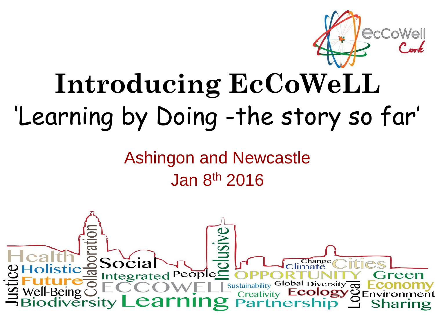

# **Introducing EcCoWeLL** 'Learning by Doing -the story so far'

Ashingon and Newcastle Jan 8th 2016

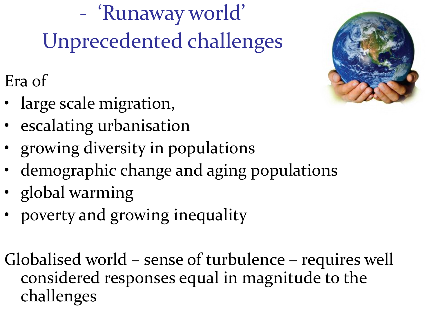- 'Runaway world' Unprecedented challenges

Era of

- large scale migration,
- escalating urbanisation
- growing diversity in populations
- demographic change and aging populations
- global warming
- poverty and growing inequality

Globalised world – sense of turbulence – requires well considered responses equal in magnitude to the challenges

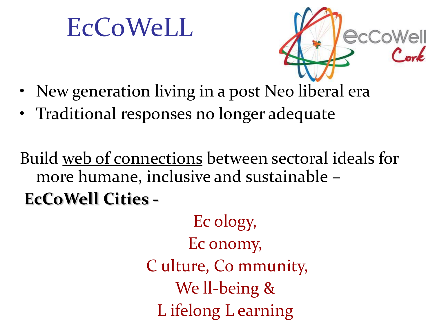# EcCoWeLL



- New generation living in a post Neo liberal era
- Traditional responses no longer adequate

Build web of connections between sectoral ideals for more humane, inclusive and sustainable – **EcCoWell Cities -**

> Ec ology, Ec onomy, C ulture, Co mmunity, We ll-being & L ifelong L earning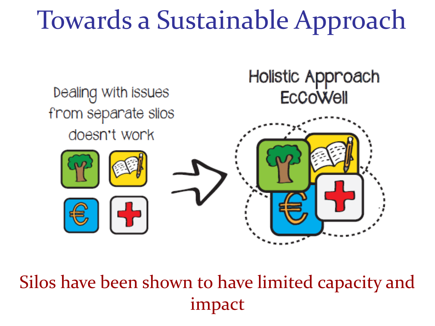# Towards a Sustainable Approach



Silos have been shown to have limited capacity and impact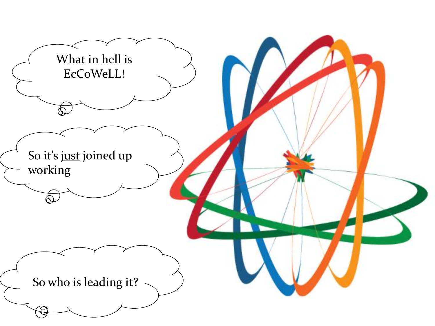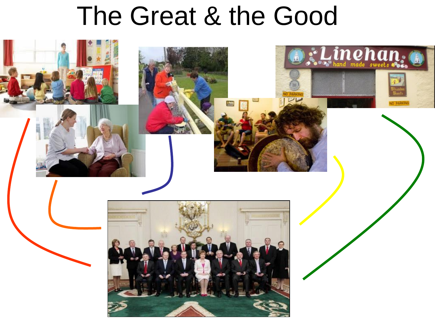## The Great & the Good

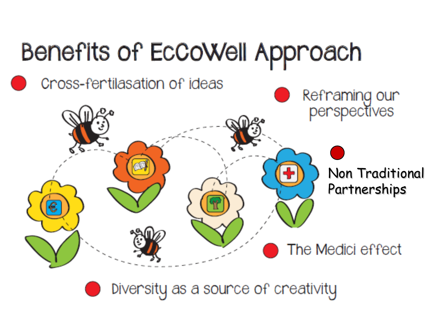

Diversity as a source of creativity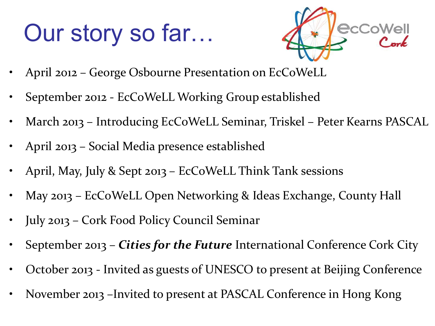### Our story so far…



- April 2012 George Osbourne Presentation on EcCoWeLL
- September 2012 EcCoWeLL Working Group established
- March 2013 Introducing EcCoWeLL Seminar, Triskel Peter Kearns PASCAL
- April 2013 Social Media presence established
- April, May, July & Sept 2013 EcCoWeLL Think Tank sessions
- May 2013 EcCoWeLL Open Networking & Ideas Exchange, County Hall
- July 2013 Cork Food Policy Council Seminar
- September 2013 *Cities for the Future* International Conference Cork City
- October 2013 Invited as guests of UNESCO to present at Beijing Conference
- November 2013 –Invited to present at PASCAL Conference in Hong Kong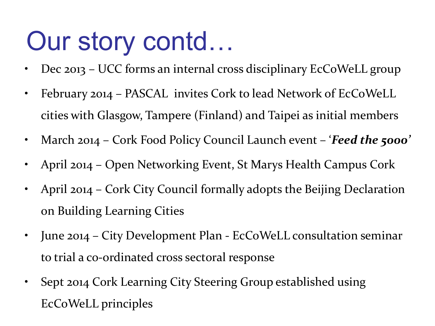# Our story contd…

- Dec 2013 UCC forms an internal cross disciplinary EcCoWeLL group
- February 2014 PASCAL invites Cork to lead Network of EcCoWeLL cities with Glasgow, Tampere (Finland) and Taipei as initial members
- March 2014 Cork Food Policy Council Launch event '*Feed the 5000'*
- April 2014 Open Networking Event, St Marys Health Campus Cork
- April 2014 Cork City Council formally adopts the Beijing Declaration on Building Learning Cities
- June 2014 City Development Plan EcCoWeLL consultation seminar to trial a co-ordinated cross sectoral response
- Sept 2014 Cork Learning City Steering Group established using EcCoWeLL principles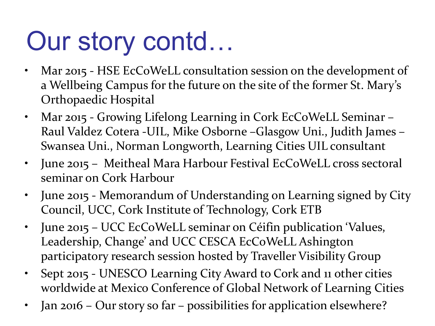# Our story contd…

- Mar 2015 HSE EcCoWeLL consultation session on the development of a Wellbeing Campus for the future on the site of the former St. Mary's Orthopaedic Hospital
- Mar 2015 Growing Lifelong Learning in Cork EcCoWeLL Seminar Raul Valdez Cotera -UIL, Mike Osborne –Glasgow Uni., Judith James – Swansea Uni., Norman Longworth, Learning Cities UIL consultant
- June 2015 Meitheal Mara Harbour Festival EcCoWeLL cross sectoral seminar on Cork Harbour
- June 2015 Memorandum of Understanding on Learning signed by City Council, UCC, Cork Institute of Technology, Cork ETB
- June 2015 UCC EcCoWeLL seminar on Céifin publication 'Values, Leadership, Change' and UCC CESCA EcCoWeLL Ashington participatory research session hosted by Traveller Visibility Group
- Sept 2015 UNESCO Learning City Award to Cork and 11 other cities worldwide at Mexico Conference of Global Network of Learning Cities
- Jan 2016 Our story so far possibilities for application elsewhere?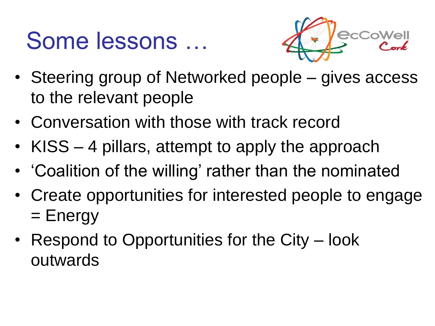#### Some lessons …



- Steering group of Networked people gives access to the relevant people
- Conversation with those with track record
- KISS 4 pillars, attempt to apply the approach
- 'Coalition of the willing' rather than the nominated
- Create opportunities for interested people to engage = Energy
- Respond to Opportunities for the City look outwards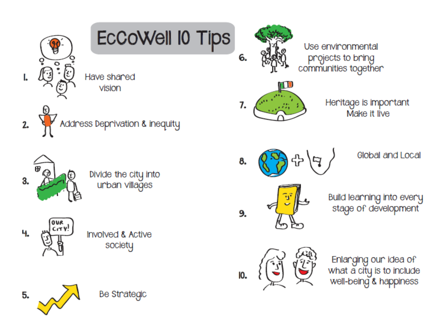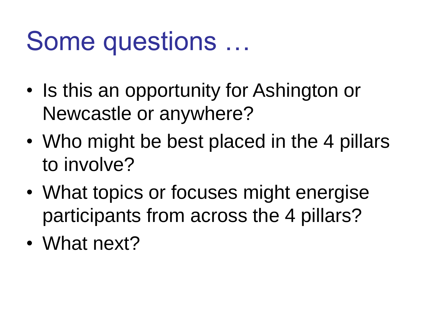# Some questions …

- Is this an opportunity for Ashington or Newcastle or anywhere?
- Who might be best placed in the 4 pillars to involve?
- What topics or focuses might energise participants from across the 4 pillars?
- What next?